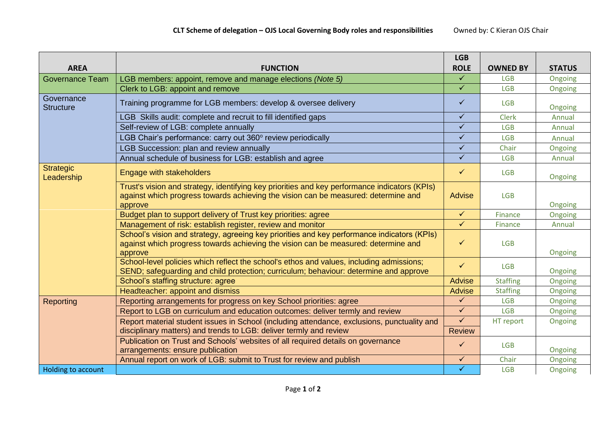|                                |                                                                                                                                                                                                | <b>LGB</b>    |                 |               |
|--------------------------------|------------------------------------------------------------------------------------------------------------------------------------------------------------------------------------------------|---------------|-----------------|---------------|
| <b>AREA</b>                    | <b>FUNCTION</b>                                                                                                                                                                                | <b>ROLE</b>   | <b>OWNED BY</b> | <b>STATUS</b> |
| <b>Governance Team</b>         | LGB members: appoint, remove and manage elections (Note 5)                                                                                                                                     | $\checkmark$  | <b>LGB</b>      | Ongoing       |
|                                | Clerk to LGB: appoint and remove                                                                                                                                                               | $\checkmark$  | <b>LGB</b>      | Ongoing       |
| Governance<br><b>Structure</b> | Training programme for LGB members: develop & oversee delivery                                                                                                                                 | $\checkmark$  | <b>LGB</b>      | Ongoing       |
|                                | LGB Skills audit: complete and recruit to fill identified gaps                                                                                                                                 | $\checkmark$  | <b>Clerk</b>    | Annual        |
|                                | Self-review of LGB: complete annually                                                                                                                                                          | $\checkmark$  | <b>LGB</b>      | Annual        |
|                                | LGB Chair's performance: carry out 360° review periodically                                                                                                                                    | $\checkmark$  | <b>LGB</b>      | Annual        |
|                                | <b>LGB Succession: plan and review annually</b>                                                                                                                                                | $\checkmark$  | Chair           | Ongoing       |
|                                | Annual schedule of business for LGB: establish and agree                                                                                                                                       | $\checkmark$  | <b>LGB</b>      | Annual        |
| <b>Strategic</b><br>Leadership | Engage with stakeholders                                                                                                                                                                       | $\checkmark$  | <b>LGB</b>      | Ongoing       |
|                                | Trust's vision and strategy, identifying key priorities and key performance indicators (KPIs)<br>against which progress towards achieving the vision can be measured: determine and<br>approve | Advise        | <b>LGB</b>      | Ongoing       |
|                                | Budget plan to support delivery of Trust key priorities: agree                                                                                                                                 | $\checkmark$  | Finance         | Ongoing       |
|                                | Management of risk: establish register, review and monitor                                                                                                                                     | $\checkmark$  | Finance         | Annual        |
|                                | School's vision and strategy, agreeing key priorities and key performance indicators (KPIs)<br>against which progress towards achieving the vision can be measured: determine and<br>approve   | $\checkmark$  | <b>LGB</b>      | Ongoing       |
|                                | School-level policies which reflect the school's ethos and values, including admissions;<br>SEND; safeguarding and child protection; curriculum; behaviour: determine and approve              | $\checkmark$  | <b>LGB</b>      | Ongoing       |
|                                | School's staffing structure: agree                                                                                                                                                             | Advise        | <b>Staffing</b> | Ongoing       |
|                                | Headteacher: appoint and dismiss                                                                                                                                                               | Advise        | <b>Staffing</b> | Ongoing       |
| Reporting                      | Reporting arrangements for progress on key School priorities: agree                                                                                                                            | $\checkmark$  | <b>LGB</b>      | Ongoing       |
|                                | Report to LGB on curriculum and education outcomes: deliver termly and review                                                                                                                  | $\checkmark$  | <b>LGB</b>      | Ongoing       |
|                                | Report material student issues in School (including attendance, exclusions, punctuality and                                                                                                    | $\checkmark$  | HT report       | Ongoing       |
|                                | disciplinary matters) and trends to LGB: deliver termly and review                                                                                                                             | <b>Review</b> |                 |               |
|                                | Publication on Trust and Schools' websites of all required details on governance<br>arrangements: ensure publication                                                                           | $\checkmark$  | <b>LGB</b>      | Ongoing       |
|                                | Annual report on work of LGB: submit to Trust for review and publish                                                                                                                           | $\checkmark$  | Chair           | Ongoing       |
| Holding to account             |                                                                                                                                                                                                | $\checkmark$  | <b>LGB</b>      | Ongoing       |